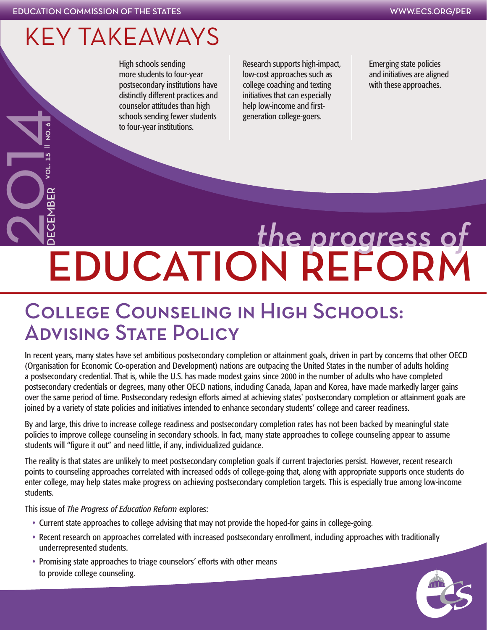vol. 15 || no. 6

### KEY TAKEAWAYS

High schools sending more students to four-year postsecondary institutions have distinctly different practices and counselor attitudes than high schools sending fewer students to four-year institutions.

Research supports high-impact, low-cost approaches such as college coaching and texting initiatives that can especially help low-income and firstgeneration college-goers.

Emerging state policies and initiatives are aligned with these approaches.

# EDUCATION REFORM Schools sending fewer students<br>to four-year institutions.<br><br>COLLEGE COUNSELING<br>ADVISING STATE POLICY *the progress of*

## College Counseling in High Schools:

In recent years, many states have set ambitious postsecondary completion or attainment goals, driven in part by concerns that other OECD (Organisation for Economic Co-operation and Development) nations are outpacing the United States in the number of adults holding a postsecondary credential. That is, while the U.S. has made modest gains since 2000 in the number of adults who have completed postsecondary credentials or degrees, many other OECD nations, including Canada, Japan and Korea, have made markedly larger gains over the same period of time. Postsecondary redesign efforts aimed at achieving states' postsecondary completion or attainment goals are joined by a variety of state policies and initiatives intended to enhance secondary students' college and career readiness.

By and large, this drive to increase college readiness and postsecondary completion rates has not been backed by meaningful state policies to improve college counseling in secondary schools. In fact, many state approaches to college counseling appear to assume students will "figure it out" and need little, if any, individualized guidance.

The reality is that states are unlikely to meet postsecondary completion goals if current trajectories persist. However, recent research points to counseling approaches correlated with increased odds of college-going that, along with appropriate supports once students do enter college, may help states make progress on achieving postsecondary completion targets. This is especially true among low-income students.

This issue of *The Progress of Education Reform* explores:

- Current state approaches to college advising that may not provide the hoped-for gains in college-going.
- Recent research on approaches correlated with increased postsecondary enrollment, including approaches with traditionally underrepresented students.
- Promising state approaches to triage counselors' efforts with other means to provide college counseling.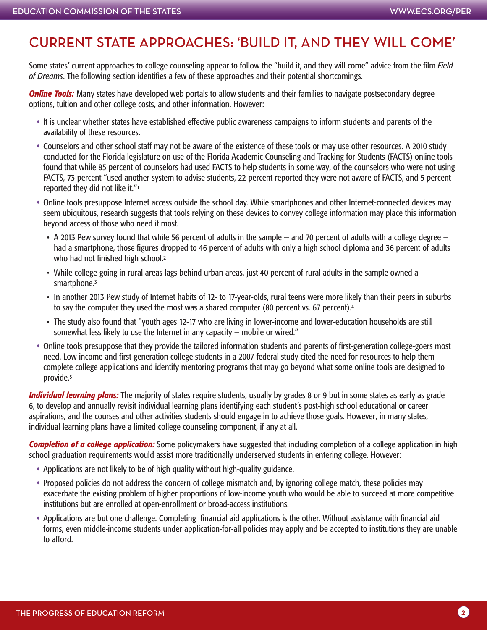#### CURRENT STATE APPROACHES: 'BUILD IT, AND THEY WILL COME'

Some states' current approaches to college counseling appear to follow the "build it, and they will come" advice from the film *Field of Dreams*. The following section identifies a few of these approaches and their potential shortcomings.

*Online Tools:* Many states have developed web portals to allow students and their families to navigate postsecondary degree options, tuition and other college costs, and other information. However:

- It is unclear whether states have established effective public awareness campaigns to inform students and parents of the availability of these resources.
- Counselors and other school staff may not be aware of the existence of these tools or may use other resources. A 2010 study conducted for the Florida legislature on use of the Florida Academic Counseling and Tracking for Students (FACTS) online tools found that while 85 percent of counselors had used FACTS to help students in some way, of the counselors who were not using FACTS, 73 percent "used another system to advise students, 22 percent reported they were not aware of FACTS, and 5 percent reported they did not like it."1
- Online tools presuppose Internet access outside the school day. While smartphones and other Internet-connected devices may seem ubiquitous, research suggests that tools relying on these devices to convey college information may place this information beyond access of those who need it most.
	- A 2013 Pew survey found that while 56 percent of adults in the sample and 70 percent of adults with a college degree had a smartphone, those figures dropped to 46 percent of adults with only a high school diploma and 36 percent of adults who had not finished high school.<sup>2</sup>
	- While college-going in rural areas lags behind urban areas, just 40 percent of rural adults in the sample owned a smartphone.<sup>3</sup>
	- In another 2013 Pew study of Internet habits of 12- to 17-year-olds, rural teens were more likely than their peers in suburbs to say the computer they used the most was a shared computer (80 percent vs. 67 percent).<sup>4</sup>
	- The study also found that "youth ages 12-17 who are living in lower-income and lower-education households are still somewhat less likely to use the Internet in any capacity — mobile or wired."
- Online tools presuppose that they provide the tailored information students and parents of first-generation college-goers most need. Low-income and first-generation college students in a 2007 federal study cited the need for resources to help them complete college applications and identify mentoring programs that may go beyond what some online tools are designed to provide.5

*Individual learning plans:* The majority of states require students, usually by grades 8 or 9 but in some states as early as grade 6, to develop and annually revisit individual learning plans identifying each student's post-high school educational or career aspirations, and the courses and other activities students should engage in to achieve those goals. However, in many states, individual learning plans have a limited college counseling component, if any at all.

*Completion of a college application:* Some policymakers have suggested that including completion of a college application in high school graduation requirements would assist more traditionally underserved students in entering college. However:

- Applications are not likely to be of high quality without high-quality guidance.
- Proposed policies do not address the concern of college mismatch and, by ignoring college match, these policies may exacerbate the existing problem of higher proportions of low-income youth who would be able to succeed at more competitive institutions but are enrolled at open-enrollment or broad-access institutions.
- Applications are but one challenge. Completing financial aid applications is the other. Without assistance with financial aid forms, even middle-income students under application-for-all policies may apply and be accepted to institutions they are unable to afford.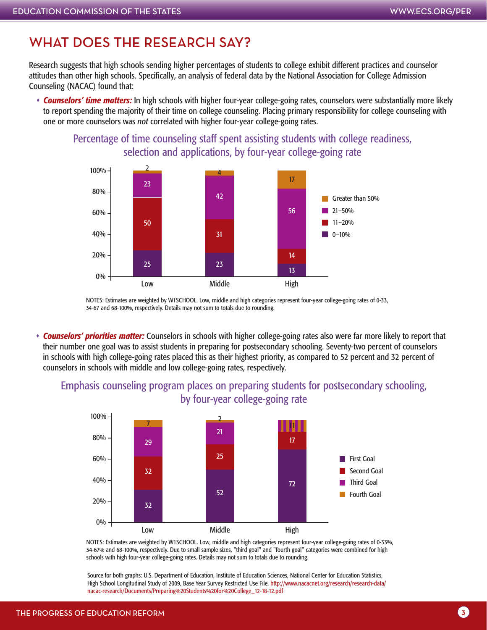#### WHAT DOES THE RESEARCH SAY?

Research suggests that high schools sending higher percentages of students to college exhibit different practices and counselor attitudes than other high schools. Specifically, an analysis of federal data by the National Association for College Admission Counseling (NACAC) found that:

 *Counselors' time matters:* In high schools with higher four-year college-going rates, counselors were substantially more likely to report spending the majority of their time on college counseling. Placing primary responsibility for college counseling with one or more counselors was *not* correlated with higher four-year college-going rates.



Percentage of time counseling staff spent assisting students with college readiness, selection and applications, by four-year college-going rate

NOTES: Estimates are weighted by W1SCHOOL. Low, middle and high categories represent four-year college-going rates of 0-33, 34-67 and 68-100%, respectively. Details may not sum to totals due to rounding.

 *Counselors' priorities matter:* Counselors in schools with higher college-going rates also were far more likely to report that their number one goal was to assist students in preparing for postsecondary schooling. Seventy-two percent of counselors in schools with high college-going rates placed this as their highest priority, as compared to 52 percent and 32 percent of counselors in schools with middle and low college-going rates, respectively.

#### Emphasis counseling program places on preparing students for postsecondary schooling, by four-year college-going rate



NOTES: Estimates are weighted by W1SCHOOL. Low, middle and high categories represent four-year college-going rates of 0-33%, 34-67% and 68-100%, respectively. Due to small sample sizes, "third goal" and "fourth goal" categories were combined for high schools with high four-year college-going rates. Details may not sum to totals due to rounding.

Source for both graphs: U.S. Department of Education, Institute of Education Sciences, National Center for Education Statistics, High School Longitudinal Study of 2009, Base Year Survey Restricted Use File, [http://www.nacacnet.org/research/research-data/](http://www.nacacnet.org/research/research-data/nacac-research/Documents/Preparing%20Students%20for%20College_12-18-12.pdf) [nacac-research/Documents/Preparing%20Students%20for%20College\\_12-18-12.pdf](http://www.nacacnet.org/research/research-data/nacac-research/Documents/Preparing%20Students%20for%20College_12-18-12.pdf)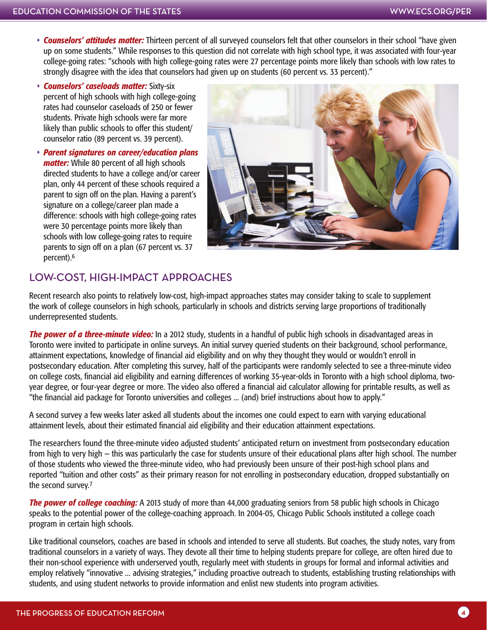- *Counselors' attitudes matter:* Thirteen percent of all surveyed counselors felt that other counselors in their school "have given up on some students." While responses to this question did not correlate with high school type, it was associated with four-year college-going rates: "schools with high college-going rates were 27 percentage points more likely than schools with low rates to strongly disagree with the idea that counselors had given up on students (60 percent vs. 33 percent)."
- *Counselors' caseloads matter:* Sixty-six percent of high schools with high college-going rates had counselor caseloads of 250 or fewer students. Private high schools were far more likely than public schools to offer this student/ counselor ratio (89 percent vs. 39 percent).
- *Parent signatures on career/education plans matter:* While 80 percent of all high schools directed students to have a college and/or career plan, only 44 percent of these schools required a parent to sign off on the plan. Having a parent's signature on a college/career plan made a difference: schools with high college-going rates were 30 percentage points more likely than schools with low college-going rates to require parents to sign off on a plan (67 percent vs. 37 percent).6



#### LOW-COST, HIGH-IMPACT APPROACHES

Recent research also points to relatively low-cost, high-impact approaches states may consider taking to scale to supplement the work of college counselors in high schools, particularly in schools and districts serving large proportions of traditionally underrepresented students.

*The power of a three-minute video:* In a 2012 study, students in a handful of public high schools in disadvantaged areas in Toronto were invited to participate in online surveys. An initial survey queried students on their background, school performance, attainment expectations, knowledge of financial aid eligibility and on why they thought they would or wouldn't enroll in postsecondary education. After completing this survey, half of the participants were randomly selected to see a three-minute video on college costs, financial aid eligibility and earning differences of working 35-year-olds in Toronto with a high school diploma, twoyear degree, or four-year degree or more. The video also offered a financial aid calculator allowing for printable results, as well as "the financial aid package for Toronto universities and colleges ... (and) brief instructions about how to apply."

A second survey a few weeks later asked all students about the incomes one could expect to earn with varying educational attainment levels, about their estimated financial aid eligibility and their education attainment expectations.

The researchers found the three-minute video adjusted students' anticipated return on investment from postsecondary education from high to very high — this was particularly the case for students unsure of their educational plans after high school. The number of those students who viewed the three-minute video, who had previously been unsure of their post-high school plans and reported "tuition and other costs" as their primary reason for not enrolling in postsecondary education, dropped substantially on the second survey.7

**The power of college coaching:** A 2013 study of more than 44,000 graduating seniors from 58 public high schools in Chicago speaks to the potential power of the college-coaching approach. In 2004-05, Chicago Public Schools instituted a college coach program in certain high schools.

Like traditional counselors, coaches are based in schools and intended to serve all students. But coaches, the study notes, vary from traditional counselors in a variety of ways. They devote all their time to helping students prepare for college, are often hired due to their non-school experience with underserved youth, regularly meet with students in groups for formal and informal activities and employ relatively "innovative ... advising strategies," including proactive outreach to students, establishing trusting relationships with students, and using student networks to provide information and enlist new students into program activities.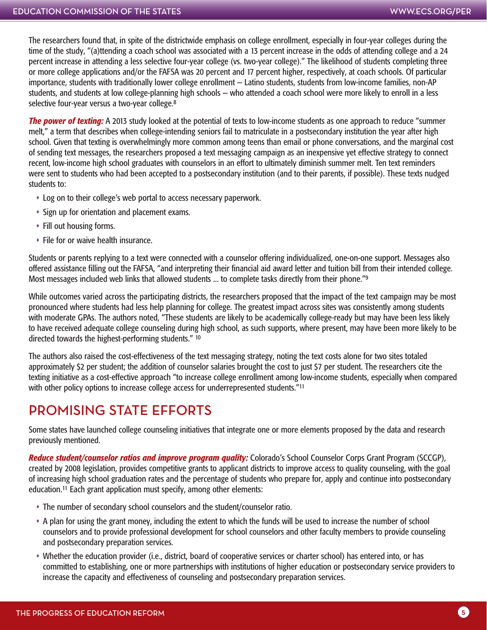The researchers found that, in spite of the districtwide emphasis on college enrollment, especially in four-year colleges during the time of the study, "(a)ttending a coach school was associated with a 13 percent increase in the odds of attending college and a 24 percent increase in attending a less selective four-year college (vs. two-year college)." The likelihood of students completing three or more college applications and/or the FAFSA was 20 percent and 17 percent higher, respectively, at coach schools. Of particular importance, students with traditionally lower college enrollment — Latino students, students from low-income families, non-AP students, and students at low college-planning high schools — who attended a coach school were more likely to enroll in a less selective four-year versus a two-year college.8

*The power of texting:* A 2013 study looked at the potential of texts to low-income students as one approach to reduce "summer melt," a term that describes when college-intending seniors fail to matriculate in a postsecondary institution the year after high school. Given that texting is overwhelmingly more common among teens than email or phone conversations, and the marginal cost of sending text messages, the researchers proposed a text messaging campaign as an inexpensive yet effective strategy to connect recent, low-income high school graduates with counselors in an effort to ultimately diminish summer melt. Ten text reminders were sent to students who had been accepted to a postsecondary institution (and to their parents, if possible). These texts nudged students to:

- Log on to their college's web portal to access necessary paperwork.
- Sign up for orientation and placement exams.
- Fill out housing forms.
- File for or waive health insurance.

Students or parents replying to a text were connected with a counselor offering individualized, one-on-one support. Messages also offered assistance filling out the FAFSA, "and interpreting their financial aid award letter and tuition bill from their intended college. Most messages included web links that allowed students ... to complete tasks directly from their phone."<sup>9</sup>

While outcomes varied across the participating districts, the researchers proposed that the impact of the text campaign may be most pronounced where students had less help planning for college. The greatest impact across sites was consistently among students with moderate GPAs. The authors noted, "These students are likely to be academically college-ready but may have been less likely to have received adequate college counseling during high school, as such supports, where present, may have been more likely to be directed towards the highest-performing students." 10

The authors also raised the cost-effectiveness of the text messaging strategy, noting the text costs alone for two sites totaled approximately \$2 per student; the addition of counselor salaries brought the cost to just \$7 per student. The researchers cite the texting initiative as a cost-effective approach "to increase college enrollment among low-income students, especially when compared with other policy options to increase college access for underrepresented students."<sup>11</sup>

#### PROMISING STATE EFFORTS

Some states have launched college counseling initiatives that integrate one or more elements proposed by the data and research previously mentioned.

*Reduce student/counselor ratios and improve program quality:* Colorado's School Counselor Corps Grant Program (SCCGP), created by 2008 legislation, provides competitive grants to applicant districts to improve access to quality counseling, with the goal of increasing high school graduation rates and the percentage of students who prepare for, apply and continue into postsecondary education.11 Each grant application must specify, among other elements:

- The number of secondary school counselors and the student/counselor ratio.
- A plan for using the grant money, including the extent to which the funds will be used to increase the number of school counselors and to provide professional development for school counselors and other faculty members to provide counseling and postsecondary preparation services.
- Whether the education provider (i.e., district, board of cooperative services or charter school) has entered into, or has committed to establishing, one or more partnerships with institutions of higher education or postsecondary service providers to increase the capacity and effectiveness of counseling and postsecondary preparation services.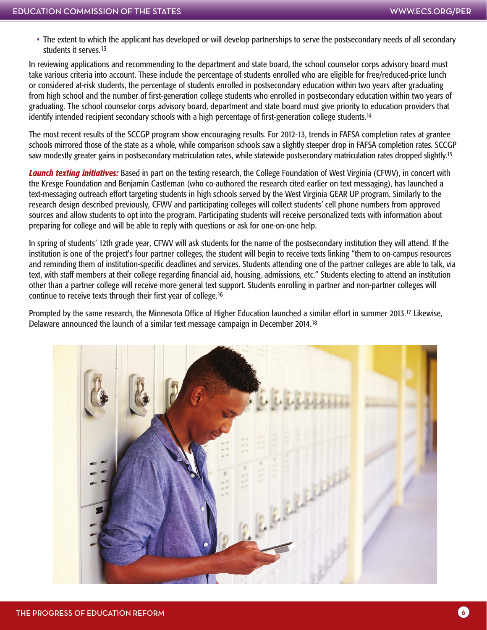The extent to which the applicant has developed or will develop partnerships to serve the postsecondary needs of all secondary students it serves.13

In reviewing applications and recommending to the department and state board, the school counselor corps advisory board must take various criteria into account. These include the percentage of students enrolled who are eligible for free/reduced-price lunch or considered at-risk students, the percentage of students enrolled in postsecondary education within two years after graduating from high school and the number of first-generation college students who enrolled in postsecondary education within two years of graduating. The school counselor corps advisory board, department and state board must give priority to education providers that identify intended recipient secondary schools with a high percentage of first-generation college students.<sup>14</sup>

The most recent results of the SCCGP program show encouraging results. For 2012-13, trends in FAFSA completion rates at grantee schools mirrored those of the state as a whole, while comparison schools saw a slightly steeper drop in FAFSA completion rates. SCCGP saw modestly greater gains in postsecondary matriculation rates, while statewide postsecondary matriculation rates dropped slightly.<sup>15</sup>

*Launch texting initiatives:* Based in part on the texting research, the College Foundation of West Virginia (CFWV), in concert with the Kresge Foundation and Benjamin Castleman (who co-authored the research cited earlier on text messaging), has launched a text-messaging outreach effort targeting students in high schools served by the West Virginia GEAR UP program. Similarly to the research design described previously, CFWV and participating colleges will collect students' cell phone numbers from approved sources and allow students to opt into the program. Participating students will receive personalized texts with information about preparing for college and will be able to reply with questions or ask for one-on-one help.

In spring of students' 12th grade year, CFWV will ask students for the name of the postsecondary institution they will attend. If the institution is one of the project's four partner colleges, the student will begin to receive texts linking "them to on-campus resources and reminding them of institution-specific deadlines and services. Students attending one of the partner colleges are able to talk, via text, with staff members at their college regarding financial aid, housing, admissions, etc." Students electing to attend an institution other than a partner college will receive more general text support. Students enrolling in partner and non-partner colleges will continue to receive texts through their first year of college.16

Prompted by the same research, the Minnesota Office of Higher Education launched a similar effort in summer 2013.17 Likewise, Delaware announced the launch of a similar text message campaign in December 2014.18

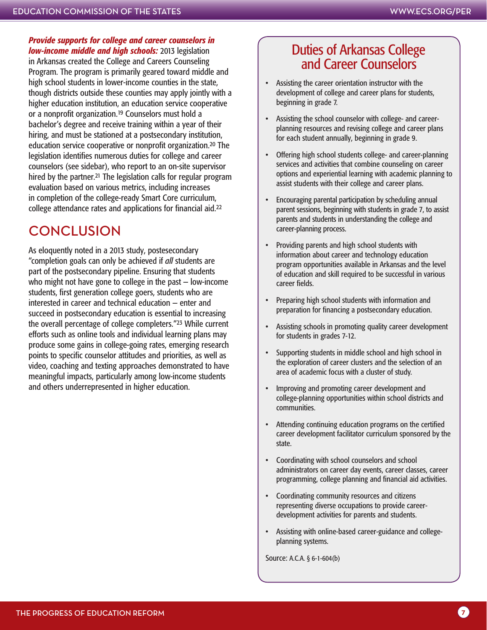*Provide supports for college and career counselors in low-income middle and high schools:* 2013 legislation in Arkansas created the College and Careers Counseling Program. The program is primarily geared toward middle and high school students in lower-income counties in the state, though districts outside these counties may apply jointly with a higher education institution, an education service cooperative or a nonprofit organization.19 Counselors must hold a bachelor's degree and receive training within a year of their hiring, and must be stationed at a postsecondary institution, education service cooperative or nonprofit organization.20 The legislation identifies numerous duties for college and career counselors (see sidebar), who report to an on-site supervisor hired by the partner.21 The legislation calls for regular program evaluation based on various metrics, including increases in completion of the college-ready Smart Core curriculum, college attendance rates and applications for financial aid.22

#### CONCLUSION

As eloquently noted in a 2013 study, postesecondary "completion goals can only be achieved if *all* students are part of the postsecondary pipeline. Ensuring that students who might not have gone to college in the past — low-income students, first generation college goers, students who are interested in career and technical education — enter and succeed in postsecondary education is essential to increasing the overall percentage of college completers."23 While current efforts such as online tools and individual learning plans may produce some gains in college-going rates, emerging research points to specific counselor attitudes and priorities, as well as video, coaching and texting approaches demonstrated to have meaningful impacts, particularly among low-income students and others underrepresented in higher education.

#### Duties of Arkansas College and Career Counselors

- Assisting the career orientation instructor with the development of college and career plans for students, beginning in grade 7.
- Assisting the school counselor with college- and careerplanning resources and revising college and career plans for each student annually, beginning in grade 9.
- Offering high school students college- and career-planning services and activities that combine counseling on career options and experiential learning with academic planning to assist students with their college and career plans.
- Encouraging parental participation by scheduling annual parent sessions, beginning with students in grade 7, to assist parents and students in understanding the college and career-planning process.
- Providing parents and high school students with information about career and technology education program opportunities available in Arkansas and the level of education and skill required to be successful in various career fields.
- Preparing high school students with information and preparation for financing a postsecondary education.
- Assisting schools in promoting quality career development for students in grades 7-12.
- Supporting students in middle school and high school in the exploration of career clusters and the selection of an area of academic focus with a cluster of study.
- Improving and promoting career development and college-planning opportunities within school districts and communities.
- Attending continuing education programs on the certified career development facilitator curriculum sponsored by the state.
- Coordinating with school counselors and school administrators on career day events, career classes, career programming, college planning and financial aid activities.
- Coordinating community resources and citizens representing diverse occupations to provide careerdevelopment activities for parents and students.
- Assisting with online-based career-guidance and collegeplanning systems.

Source: A.C.A. § 6-1-604(b)